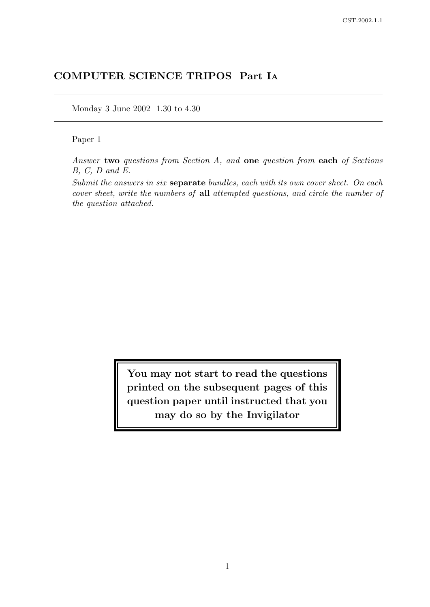# COMPUTER SCIENCE TRIPOS Part I<sup>A</sup>

Monday 3 June 2002 1.30 to 4.30

## Paper 1

Answer two questions from Section A, and one question from each of Sections B, C, D and E.

Submit the answers in six separate bundles, each with its own cover sheet. On each cover sheet, write the numbers of all attempted questions, and circle the number of the question attached.

> You may not start to read the questions printed on the subsequent pages of this question paper until instructed that you may do so by the Invigilator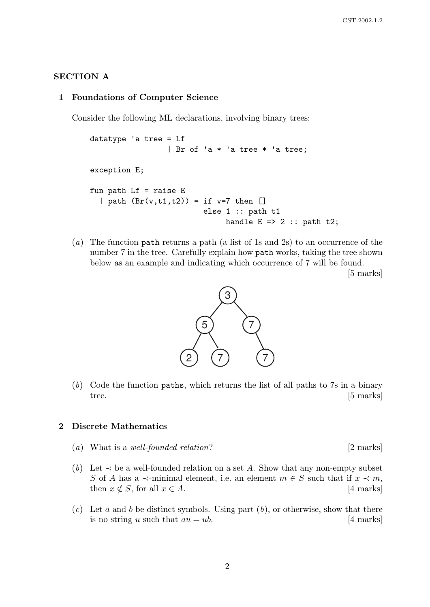## SECTION A

### 1 Foundations of Computer Science

Consider the following ML declarations, involving binary trees:

```
datatype 'a tree = Lf
                  | Br of 'a * 'a tree * 'a tree;
exception E;
fun path Lf = raise E| path (Br(v,t1,t2)) = if v=7 then []
                           else 1 :: path t1
                                handle E \Rightarrow 2 :: path t2;
```
(a) The function path returns a path (a list of 1s and 2s) to an occurrence of the number 7 in the tree. Carefully explain how path works, taking the tree shown below as an example and indicating which occurrence of 7 will be found.

[5 marks]



(b) Code the function paths, which returns the list of all paths to 7s in a binary tree. [5 marks]

#### 2 Discrete Mathematics

- (a) What is a well-founded relation?  $[2 \text{ marks}]$
- (b) Let  $\prec$  be a well-founded relation on a set A. Show that any non-empty subset S of A has a  $\prec$ -minimal element, i.e. an element  $m \in S$  such that if  $x \prec m$ , then  $x \notin S$ , for all  $x \in A$ . [4 marks]
- (c) Let a and b be distinct symbols. Using part  $(b)$ , or otherwise, show that there is no string u such that  $au = ub$ . [4 marks]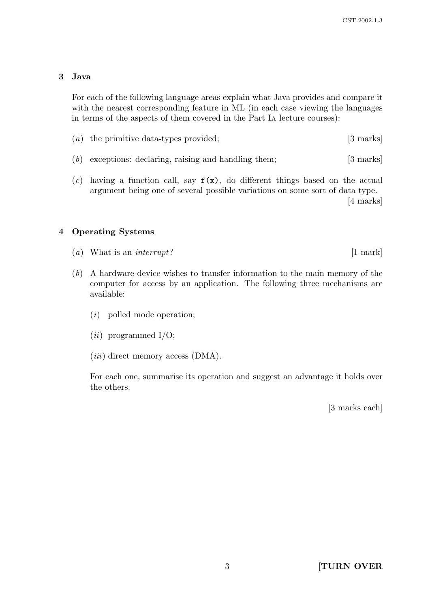# 3 Java

For each of the following language areas explain what Java provides and compare it with the nearest corresponding feature in ML (in each case viewing the languages in terms of the aspects of them covered in the Part I<sup>A</sup> lecture courses):

- (a) the primitive data-types provided; [3 marks]
- (b) exceptions: declaring, raising and handling them; [3 marks]
- (c) having a function call, say  $f(x)$ , do different things based on the actual argument being one of several possible variations on some sort of data type. [4 marks]

## 4 Operating Systems

- (a) What is an interrupt?  $[1 \text{ mark}]$
- (b) A hardware device wishes to transfer information to the main memory of the computer for access by an application. The following three mechanisms are available:
	- (i) polled mode operation;
	- $(ii)$  programmed I/O;
	- $(iii)$  direct memory access (DMA).

For each one, summarise its operation and suggest an advantage it holds over the others.

[3 marks each]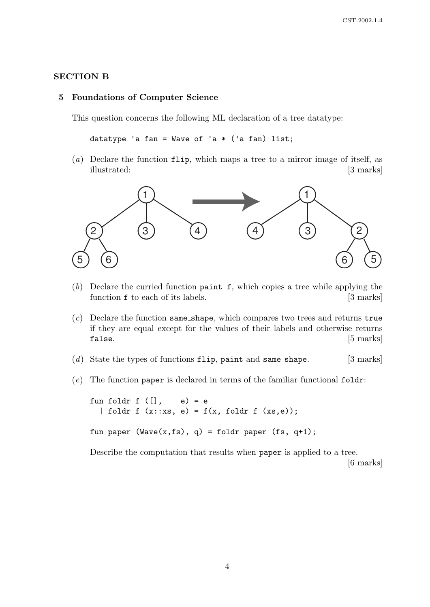## SECTION B

#### 5 Foundations of Computer Science

This question concerns the following ML declaration of a tree datatype:

datatype 'a fan = Wave of 'a  $*$  ('a fan) list;

(a) Declare the function flip, which maps a tree to a mirror image of itself, as illustrated: [3 marks]



- (b) Declare the curried function paint  $f$ , which copies a tree while applying the function **f** to each of its labels. [3 marks]
- $(c)$  Declare the function same\_shape, which compares two trees and returns true if they are equal except for the values of their labels and otherwise returns false. [5] marks]
- (d) State the types of functions  $flip$ , paint and same\_shape. [3 marks]
- $(e)$  The function paper is declared in terms of the familiar functional foldr:

fun foldr f  $([$ ,  $e) = e$ | foldr f  $(x::xs, e) = f(x, foldr f (xs, e));$ fun paper (Wave $(x, fs)$ , q) = foldr paper (fs, q+1);

Describe the computation that results when paper is applied to a tree.

[6 marks]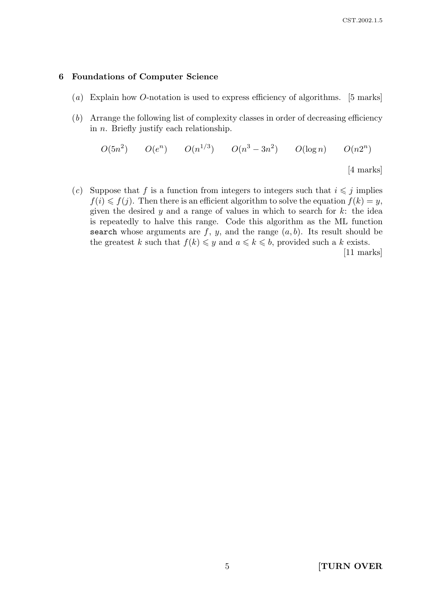### 6 Foundations of Computer Science

- (a) Explain how O-notation is used to express efficiency of algorithms. [5 marks]
- (b) Arrange the following list of complexity classes in order of decreasing efficiency in  $n$ . Briefly justify each relationship.

$$
O(5n2) \t O(en) \t O(n1/3) \t O(n3 – 3n2) \t O(log n) \t O(n2n)
$$
  
[4 marks]

(c) Suppose that f is a function from integers to integers such that  $i \leq j$  implies  $f(i) \leq f(j)$ . Then there is an efficient algorithm to solve the equation  $f(k) = y$ , given the desired y and a range of values in which to search for  $k$ : the idea is repeatedly to halve this range. Code this algorithm as the ML function search whose arguments are  $f, y$ , and the range  $(a, b)$ . Its result should be the greatest k such that  $f(k) \leq y$  and  $a \leq k \leq b$ , provided such a k exists. [11 marks]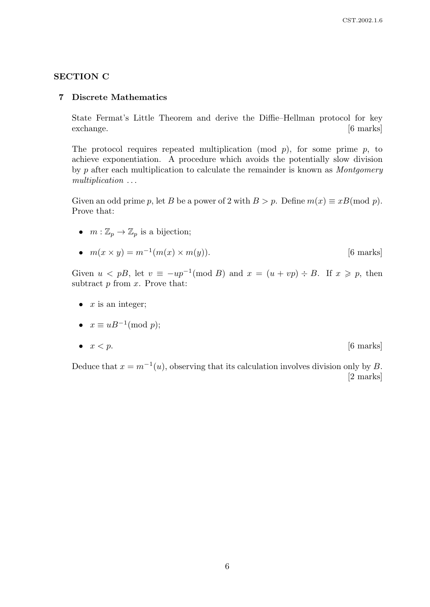## SECTION C

#### 7 Discrete Mathematics

State Fermat's Little Theorem and derive the Diffie–Hellman protocol for key exchange. [6 marks]

The protocol requires repeated multiplication (mod  $p$ ), for some prime  $p$ , to achieve exponentiation. A procedure which avoids the potentially slow division by p after each multiplication to calculate the remainder is known as Montgomery multiplication . . .

Given an odd prime p, let B be a power of 2 with  $B > p$ . Define  $m(x) \equiv xB \pmod{p}$ . Prove that:

- $m: \mathbb{Z}_p \to \mathbb{Z}_p$  is a bijection;
- $m(x \times y) = m^{-1}(m(x) \times m(y)).$  [6 marks]

Given  $u < pB$ , let  $v \equiv -up^{-1} \pmod{B}$  and  $x = (u + vp) \div B$ . If  $x \geq p$ , then subtract  $p$  from  $x$ . Prove that:

- $x$  is an integer;
- $x \equiv uB^{-1} \pmod{p};$

• 
$$
x < p
$$
.  $[6 \text{ marks}]$ 

Deduce that  $x = m^{-1}(u)$ , observing that its calculation involves division only by B. [2 marks]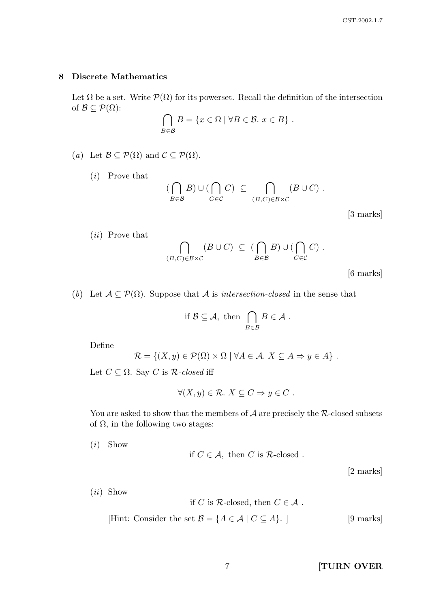### 8 Discrete Mathematics

Let  $\Omega$  be a set. Write  $\mathcal{P}(\Omega)$  for its powerset. Recall the definition of the intersection of  $\mathcal{B} \subseteq \mathcal{P}(\Omega)$ :

$$
\bigcap_{B \in \mathcal{B}} B = \{x \in \Omega \mid \forall B \in \mathcal{B}.\ x \in B\}.
$$

(a) Let  $\mathcal{B} \subseteq \mathcal{P}(\Omega)$  and  $\mathcal{C} \subseteq \mathcal{P}(\Omega)$ .

(i) Prove that

$$
(\bigcap_{B\in\mathcal{B}}B)\cup(\bigcap_{C\in\mathcal{C}}C)\ \subseteq\ \bigcap_{(B,C)\in\mathcal{B}\times\mathcal{C}}(B\cup C)\ .
$$

[3 marks]

(ii) Prove that

$$
\bigcap_{(B,C)\in\mathcal{B}\times\mathcal{C}} (B\cup C) \subseteq (\bigcap_{B\in\mathcal{B}} B) \cup (\bigcap_{C\in\mathcal{C}} C).
$$

[6 marks]

(b) Let  $A \subseteq \mathcal{P}(\Omega)$ . Suppose that A is *intersection-closed* in the sense that

if 
$$
\mathcal{B} \subseteq \mathcal{A}
$$
, then  $\bigcap_{B \in \mathcal{B}} B \in \mathcal{A}$ .

Define

$$
\mathcal{R} = \{(X, y) \in \mathcal{P}(\Omega) \times \Omega \mid \forall A \in \mathcal{A}. \ X \subseteq A \Rightarrow y \in A\}.
$$

Let  $C \subseteq \Omega$ . Say C is R-closed iff

$$
\forall (X, y) \in \mathcal{R}. \ X \subseteq C \Rightarrow y \in C .
$$

You are asked to show that the members of  $A$  are precisely the  $R$ -closed subsets of  $\Omega$ , in the following two stages:

(i) Show

if 
$$
C \in \mathcal{A}
$$
, then C is R-closed.

[2 marks]

(ii) Show

if C is R-closed, then  $C \in \mathcal{A}$ .

[Hint: Consider the set 
$$
\mathcal{B} = \{A \in \mathcal{A} \mid C \subseteq A\}
$$
.] [9 marks]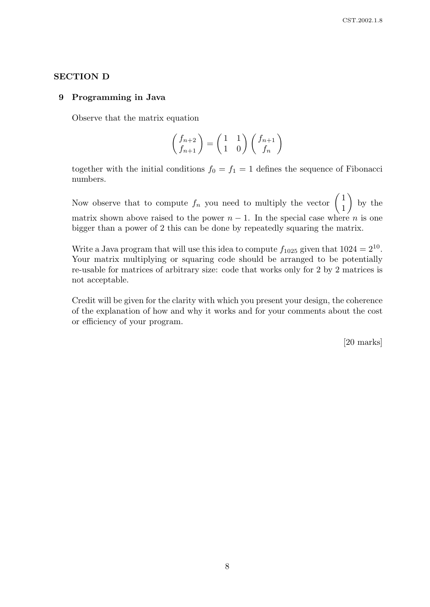## SECTION D

#### 9 Programming in Java

Observe that the matrix equation

$$
\begin{pmatrix} f_{n+2} \\ f_{n+1} \end{pmatrix} = \begin{pmatrix} 1 & 1 \\ 1 & 0 \end{pmatrix} \begin{pmatrix} f_{n+1} \\ f_n \end{pmatrix}
$$

together with the initial conditions  $f_0 = f_1 = 1$  defines the sequence of Fibonacci numbers.

Now observe that to compute  $f_n$  you need to multiply the vector  $\begin{pmatrix} 1 \\ 1 \end{pmatrix}$ 1  $\setminus$ by the matrix shown above raised to the power  $n-1$ . In the special case where n is one bigger than a power of 2 this can be done by repeatedly squaring the matrix.

Write a Java program that will use this idea to compute  $f_{1025}$  given that  $1024 = 2^{10}$ . Your matrix multiplying or squaring code should be arranged to be potentially re-usable for matrices of arbitrary size: code that works only for 2 by 2 matrices is not acceptable.

Credit will be given for the clarity with which you present your design, the coherence of the explanation of how and why it works and for your comments about the cost or efficiency of your program.

[20 marks]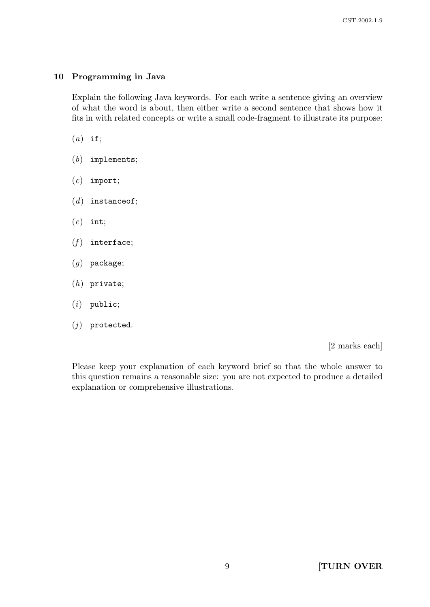## 10 Programming in Java

Explain the following Java keywords. For each write a sentence giving an overview of what the word is about, then either write a second sentence that shows how it fits in with related concepts or write a small code-fragment to illustrate its purpose:

- $(a)$  if;
- $(b)$  implements;
- $(c)$  import;
- $(d)$  instance of;
- $(e)$  int;
- $(f)$  interface;
- $(g)$  package;
- (h) private;
- $(i)$  public;
- $(j)$  protected.

[2 marks each]

Please keep your explanation of each keyword brief so that the whole answer to this question remains a reasonable size: you are not expected to produce a detailed explanation or comprehensive illustrations.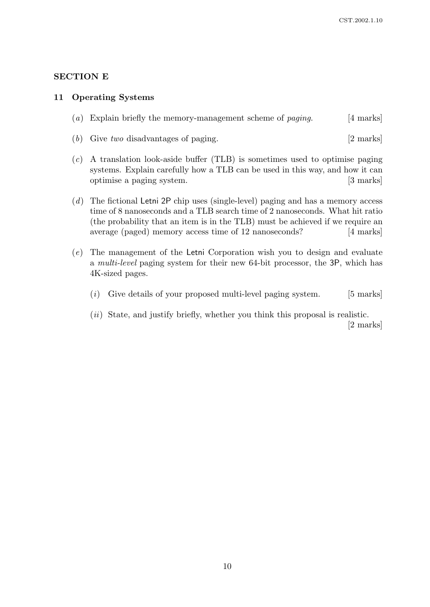## SECTION E

#### 11 Operating Systems

- (a) Explain briefly the memory-management scheme of *paging*. [4 marks]
- (b) Give two disadvantages of paging. [2 marks]
- (c) A translation look-aside buffer (TLB) is sometimes used to optimise paging systems. Explain carefully how a TLB can be used in this way, and how it can optimise a paging system. [3 marks]
- (d) The fictional Letni 2P chip uses (single-level) paging and has a memory access time of 8 nanoseconds and a TLB search time of 2 nanoseconds. What hit ratio (the probability that an item is in the TLB) must be achieved if we require an average (paged) memory access time of 12 nanoseconds? [4 marks]
- (e) The management of the Letni Corporation wish you to design and evaluate a multi-level paging system for their new 64-bit processor, the 3P, which has 4K-sized pages.
	- $(i)$  Give details of your proposed multi-level paging system. [5 marks]
	- $(ii)$  State, and justify briefly, whether you think this proposal is realistic. [2 marks]